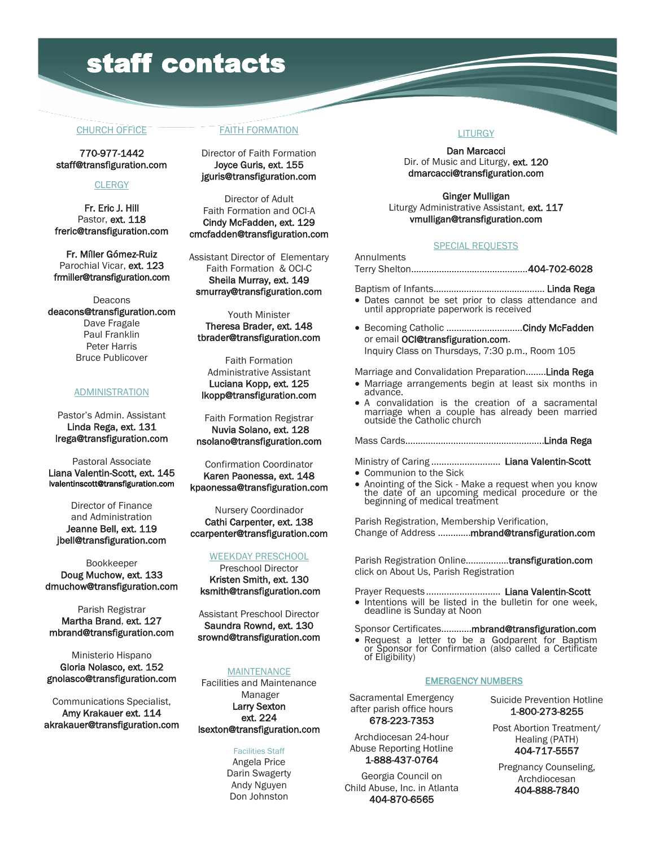# staff contacts

#### CHURCH OFFICE

770-977-1442 staff@transfiguration.com

#### **CLERGY**

Fr. Eric J. Hill Pastor, ext. 118 freric@transfiguration.com

Fr. Míller Gómez-Ruiz Parochial Vicar, ext. 123 frmiller@transfiguration.com

Deacons deacons@transfiguration.com Dave Fragale Paul Franklin Peter Harris Bruce Publicover

#### ADMINISTRATION

Pastor's Admin. Assistant Linda Rega, ext. 131 lrega@transfiguration.com

Pastoral Associate Liana Valentin-Scott, ext. 145 lvalentinscott@transfiguration.com

Director of Finance and Administration Jeanne Bell, ext. 119 jbell@transfiguration.com

Bookkeeper Doug Muchow, ext. 133 dmuchow@transfiguration.com

Parish Registrar Martha Brand, ext. 127 mbrand@transfiguration.com

Ministerio Hispano Gloria Nolasco, ext. 152 gnolasco@transfiguration.com

Communications Specialist, Amy Krakauer ext. 114 akrakauer@transfiguration.com

### FAITH FORMATION

Director of Faith Formation Joyce Guris, ext. 155 jguris@transfiguration.com

Director of Adult Faith Formation and OCI-A Cindy McFadden, ext. 129 cmcfadden@transfiguration.com

Assistant Director of Elementary Faith Formation & OCI-C Sheila Murray, ext. 149 smurray@transfiguration.com

Youth Minister Theresa Brader, ext. 148 tbrader@transfiguration.com

Faith Formation Administrative Assistant Luciana Kopp, ext. 125 lkopp@transfiguration.com

Faith Formation Registrar Nuvia Solano, ext. 128 nsolano@transfiguration.com

Confirmation Coordinator Karen Paonessa, ext. 148 kpaonessa@transfiguration.com

Nursery Coordinador Cathi Carpenter, ext. 138 ccarpenter@transfiguration.com

#### WEEKDAY PRESCHOOL

Preschool Director Kristen Smith, ext. 130 ksmith@transfiguration.com

Assistant Preschool Director Saundra Rownd, ext. 130 srownd@transfiguration.com

#### **MAINTENANCE**

Facilities and Maintenance Manager Larry Sexton ext. 224 lsexton@transfiguration.com

Facilities Staff

Angela Price Darin Swagerty Andy Nguyen Don Johnston

## **LITURGY**

Dan Marcacci Dir. of Music and Liturgy, ext. 120 dmarcacci@transfiguration.com

Ginger Mulligan Liturgy Administrative Assistant, ext. 117 vmulligan@transfiguration.com

### SPECIAL REQUESTS

Annulments Terry Shelton……………………………………….404-702-6028

Baptism of Infants.……….…………………………… Linda Rega

- Dates cannot be set prior to class attendance and until appropriate paperwork is received
- Becoming Catholic ……….....................Cindy McFadden or email OCI@transfiguration.com. Inquiry Class on Thursdays, 7:30 p.m., Room 105

Marriage and Convalidation Preparation........Linda Rega

- Marriage arrangements begin at least six months in advance.
- A convalidation is the creation of a sacramental marriage when a couple has already been married outside the Catholic church

Mass Cards……………………………………………....Linda Rega

Ministry of Caring ........................... Liana Valentin-Scott

- Communion to the Sick
- Anointing of the Sick Make a request when you know the date of an upcoming medical procedure or the beginning of medical treatment

Parish Registration, Membership Verification, Change of Address ………….mbrand@transfiguration.com

Parish Registration Online…….……….transfiguration.com click on About Us, Parish Registration

Prayer Requests ............................. Liana Valentin-Scott

• Intentions will be listed in the bulletin for one week. deadline is Sunday at Noon

Sponsor Certificates…………mbrand@transfiguration.com

• Request a letter to be a Godparent for Baptism or Sponsor for Confirmation (also called a Certificate of Eligibility)

#### EMERGENCY NUMBERS

Sacramental Emergency after parish office hours 678-223-7353

Archdiocesan 24-hour Abuse Reporting Hotline 1-888-437-0764

Georgia Council on Child Abuse, Inc. in Atlanta 404-870-6565

Suicide Prevention Hotline 1-800-273-8255

Post Abortion Treatment/ Healing (PATH) 404-717-5557

Pregnancy Counseling, Archdiocesan 404-888-7840